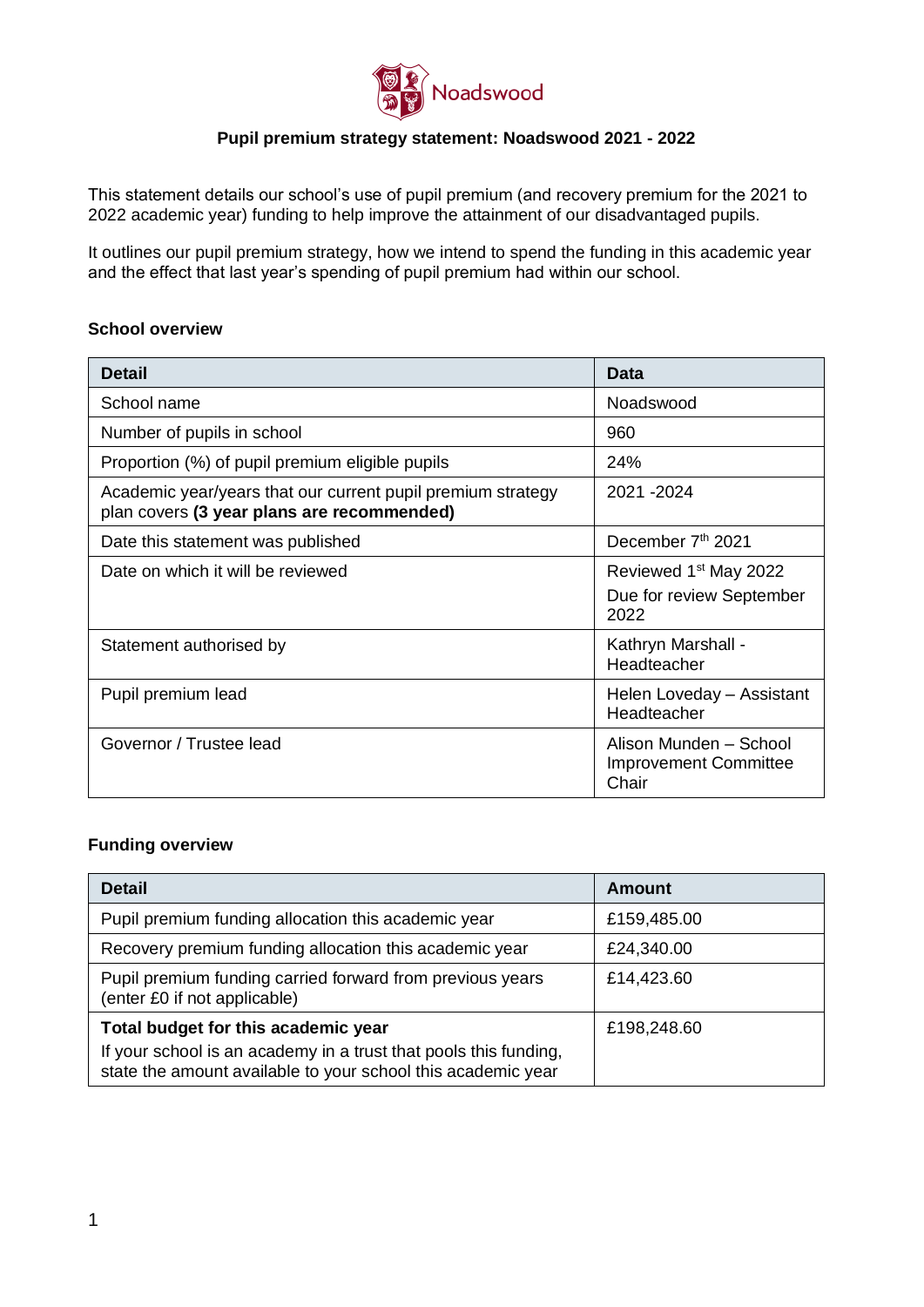

### **Pupil premium strategy statement: Noadswood 2021 - 2022**

This statement details our school's use of pupil premium (and recovery premium for the 2021 to 2022 academic year) funding to help improve the attainment of our disadvantaged pupils.

It outlines our pupil premium strategy, how we intend to spend the funding in this academic year and the effect that last year's spending of pupil premium had within our school.

#### **School overview**

| <b>Detail</b>                                                                                             | Data                                                                  |
|-----------------------------------------------------------------------------------------------------------|-----------------------------------------------------------------------|
| School name                                                                                               | Noadswood                                                             |
| Number of pupils in school                                                                                | 960                                                                   |
| Proportion (%) of pupil premium eligible pupils                                                           | 24%                                                                   |
| Academic year/years that our current pupil premium strategy<br>plan covers (3 year plans are recommended) | 2021 - 2024                                                           |
| Date this statement was published                                                                         | December 7th 2021                                                     |
| Date on which it will be reviewed                                                                         | Reviewed 1 <sup>st</sup> May 2022<br>Due for review September<br>2022 |
| Statement authorised by                                                                                   | Kathryn Marshall -<br>Headteacher                                     |
| Pupil premium lead                                                                                        | Helen Loveday - Assistant<br>Headteacher                              |
| Governor / Trustee lead                                                                                   | Alison Munden - School<br><b>Improvement Committee</b><br>Chair       |

### **Funding overview**

| <b>Detail</b>                                                                                                                    | Amount      |
|----------------------------------------------------------------------------------------------------------------------------------|-------------|
| Pupil premium funding allocation this academic year                                                                              | £159,485.00 |
| Recovery premium funding allocation this academic year                                                                           | £24,340.00  |
| Pupil premium funding carried forward from previous years<br>(enter £0 if not applicable)                                        | £14,423.60  |
| Total budget for this academic year                                                                                              | £198,248.60 |
| If your school is an academy in a trust that pools this funding,<br>state the amount available to your school this academic year |             |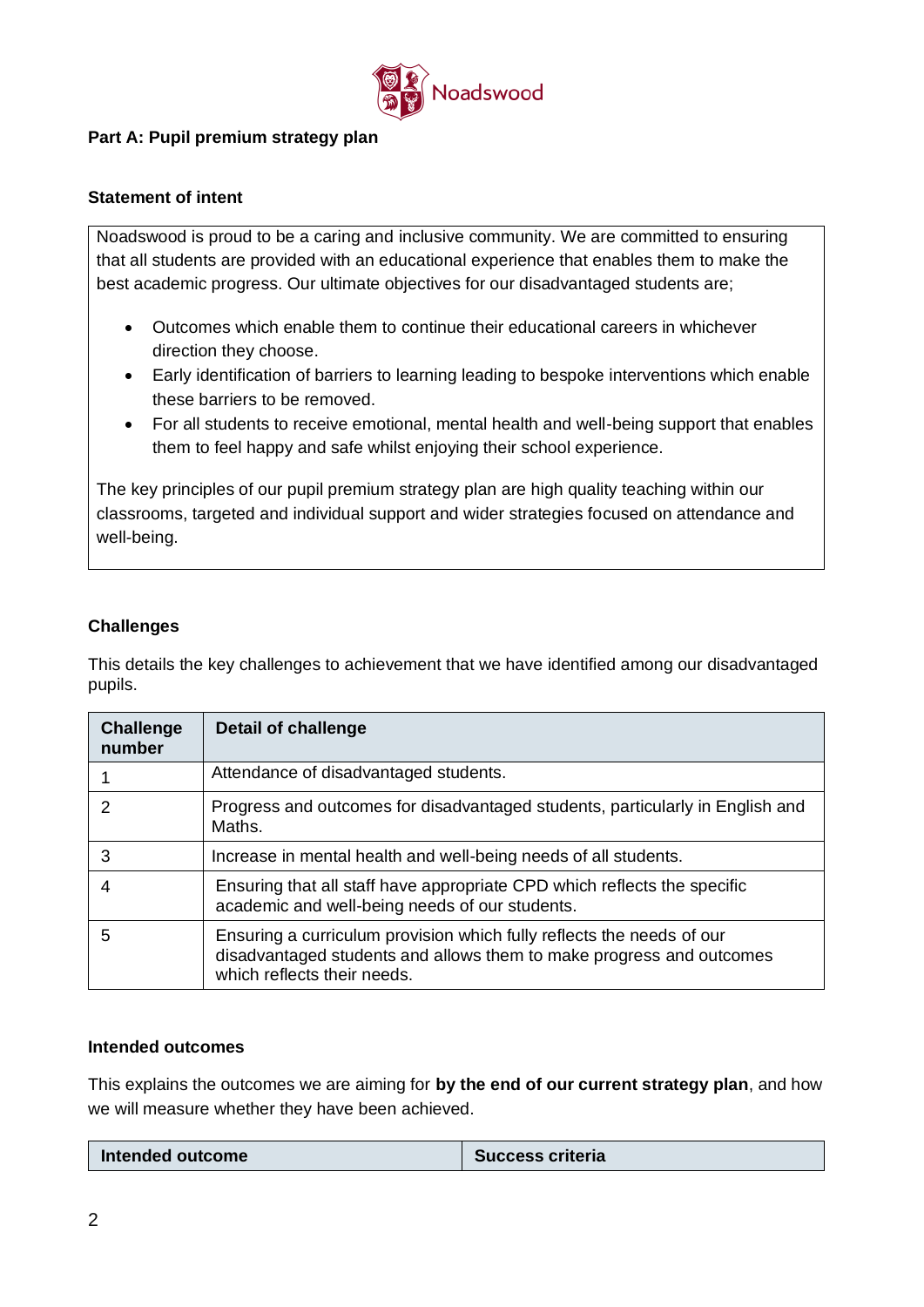

### **Part A: Pupil premium strategy plan**

### **Statement of intent**

Noadswood is proud to be a caring and inclusive community. We are committed to ensuring that all students are provided with an educational experience that enables them to make the best academic progress. Our ultimate objectives for our disadvantaged students are;

- Outcomes which enable them to continue their educational careers in whichever direction they choose.
- Early identification of barriers to learning leading to bespoke interventions which enable these barriers to be removed.
- For all students to receive emotional, mental health and well-being support that enables them to feel happy and safe whilst enjoying their school experience.

The key principles of our pupil premium strategy plan are high quality teaching within our classrooms, targeted and individual support and wider strategies focused on attendance and well-being.

### **Challenges**

This details the key challenges to achievement that we have identified among our disadvantaged pupils.

| <b>Challenge</b><br>number | <b>Detail of challenge</b>                                                                                                                                                   |
|----------------------------|------------------------------------------------------------------------------------------------------------------------------------------------------------------------------|
|                            | Attendance of disadvantaged students.                                                                                                                                        |
| 2                          | Progress and outcomes for disadvantaged students, particularly in English and<br>Maths.                                                                                      |
| 3                          | Increase in mental health and well-being needs of all students.                                                                                                              |
|                            | Ensuring that all staff have appropriate CPD which reflects the specific<br>academic and well-being needs of our students.                                                   |
| 5                          | Ensuring a curriculum provision which fully reflects the needs of our<br>disadvantaged students and allows them to make progress and outcomes<br>which reflects their needs. |

### **Intended outcomes**

This explains the outcomes we are aiming for **by the end of our current strategy plan**, and how we will measure whether they have been achieved.

| Intended outcome | <b>Success criteria</b> |
|------------------|-------------------------|
|------------------|-------------------------|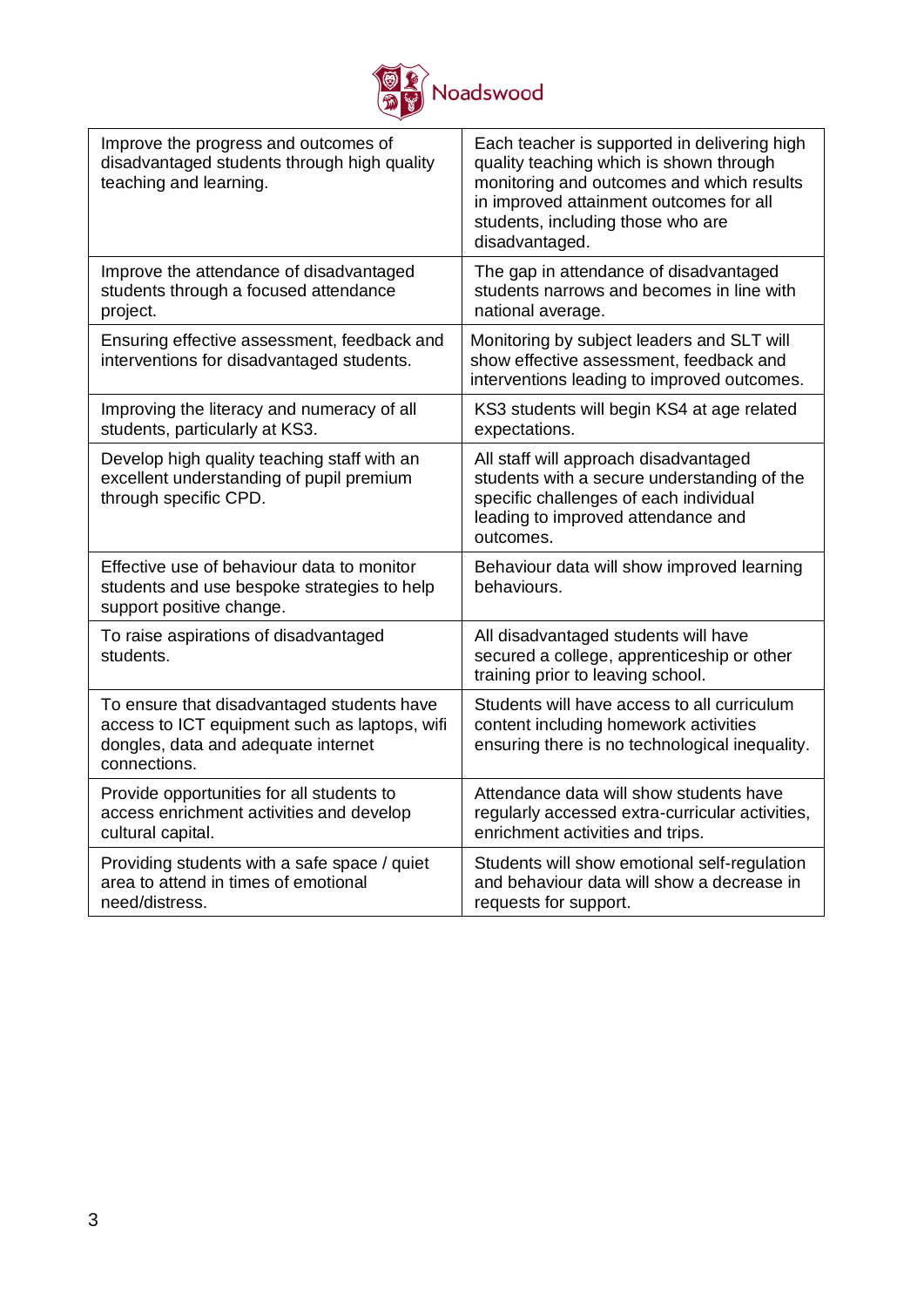

| Improve the progress and outcomes of<br>disadvantaged students through high quality<br>teaching and learning.                                      | Each teacher is supported in delivering high<br>quality teaching which is shown through<br>monitoring and outcomes and which results<br>in improved attainment outcomes for all<br>students, including those who are<br>disadvantaged. |
|----------------------------------------------------------------------------------------------------------------------------------------------------|----------------------------------------------------------------------------------------------------------------------------------------------------------------------------------------------------------------------------------------|
| Improve the attendance of disadvantaged<br>students through a focused attendance<br>project.                                                       | The gap in attendance of disadvantaged<br>students narrows and becomes in line with<br>national average.                                                                                                                               |
| Ensuring effective assessment, feedback and<br>interventions for disadvantaged students.                                                           | Monitoring by subject leaders and SLT will<br>show effective assessment, feedback and<br>interventions leading to improved outcomes.                                                                                                   |
| Improving the literacy and numeracy of all<br>students, particularly at KS3.                                                                       | KS3 students will begin KS4 at age related<br>expectations.                                                                                                                                                                            |
| Develop high quality teaching staff with an<br>excellent understanding of pupil premium<br>through specific CPD.                                   | All staff will approach disadvantaged<br>students with a secure understanding of the<br>specific challenges of each individual<br>leading to improved attendance and<br>outcomes.                                                      |
| Effective use of behaviour data to monitor<br>students and use bespoke strategies to help<br>support positive change.                              | Behaviour data will show improved learning<br>behaviours.                                                                                                                                                                              |
| To raise aspirations of disadvantaged<br>students.                                                                                                 | All disadvantaged students will have<br>secured a college, apprenticeship or other<br>training prior to leaving school.                                                                                                                |
| To ensure that disadvantaged students have<br>access to ICT equipment such as laptops, wifi<br>dongles, data and adequate internet<br>connections. | Students will have access to all curriculum<br>content including homework activities<br>ensuring there is no technological inequality.                                                                                                 |
| Provide opportunities for all students to<br>access enrichment activities and develop<br>cultural capital.                                         | Attendance data will show students have<br>regularly accessed extra-curricular activities,<br>enrichment activities and trips.                                                                                                         |
| Providing students with a safe space / quiet<br>area to attend in times of emotional<br>need/distress.                                             | Students will show emotional self-regulation<br>and behaviour data will show a decrease in<br>requests for support.                                                                                                                    |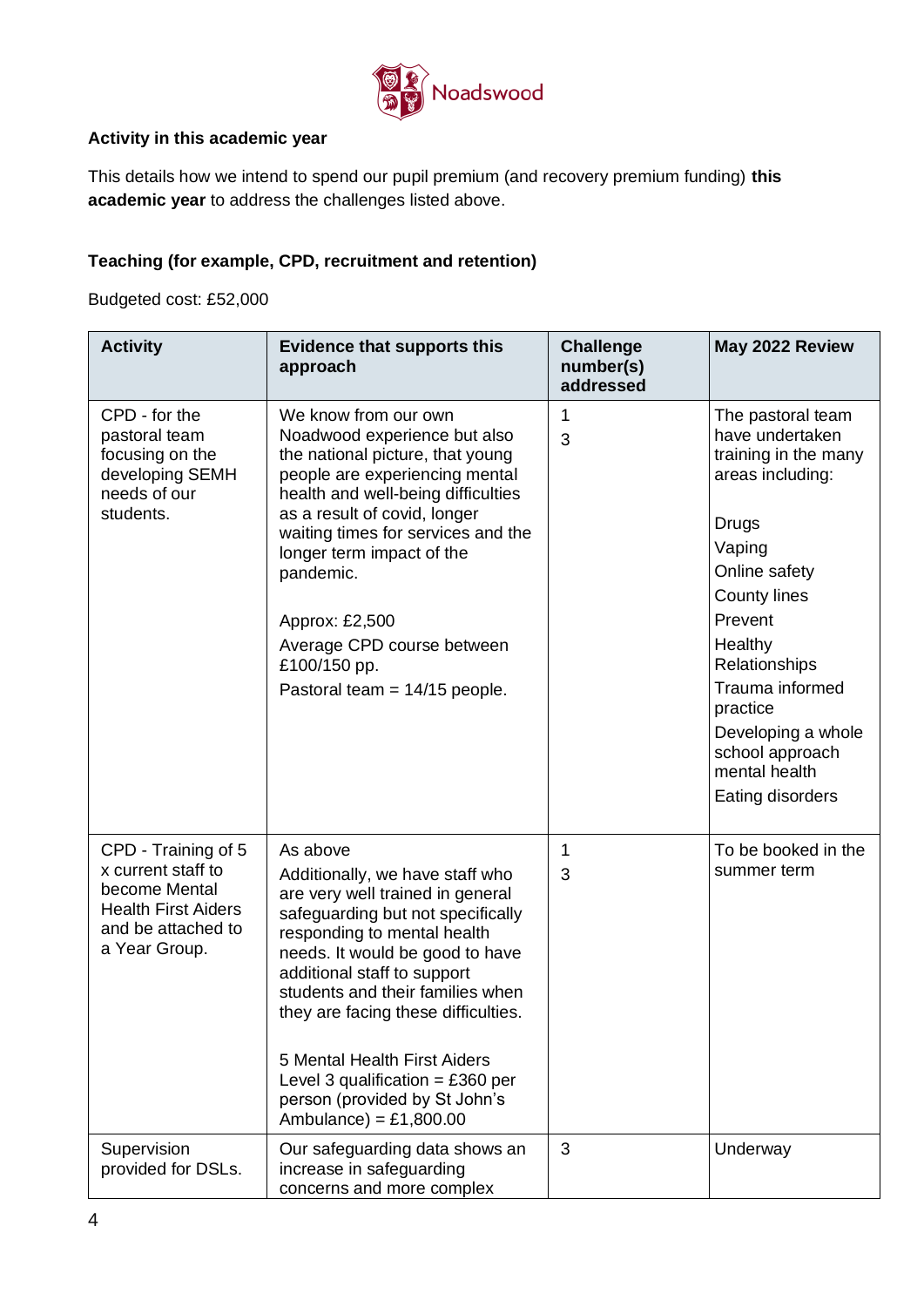

## **Activity in this academic year**

This details how we intend to spend our pupil premium (and recovery premium funding) **this academic year** to address the challenges listed above.

# **Teaching (for example, CPD, recruitment and retention)**

Budgeted cost: £52,000

| <b>Activity</b>                                                                                                                 | <b>Evidence that supports this</b><br>approach                                                                                                                                                                                                                                                                                                                                                                                    | <b>Challenge</b><br>number(s)<br>addressed | May 2022 Review                                                                                                                                                                                                                                                                                 |
|---------------------------------------------------------------------------------------------------------------------------------|-----------------------------------------------------------------------------------------------------------------------------------------------------------------------------------------------------------------------------------------------------------------------------------------------------------------------------------------------------------------------------------------------------------------------------------|--------------------------------------------|-------------------------------------------------------------------------------------------------------------------------------------------------------------------------------------------------------------------------------------------------------------------------------------------------|
| CPD - for the<br>pastoral team<br>focusing on the<br>developing SEMH<br>needs of our<br>students.                               | We know from our own<br>Noadwood experience but also<br>the national picture, that young<br>people are experiencing mental<br>health and well-being difficulties<br>as a result of covid, longer<br>waiting times for services and the<br>longer term impact of the<br>pandemic.<br>Approx: £2,500<br>Average CPD course between<br>£100/150 pp.<br>Pastoral team = $14/15$ people.                                               | 1<br>3                                     | The pastoral team<br>have undertaken<br>training in the many<br>areas including:<br>Drugs<br>Vaping<br>Online safety<br><b>County lines</b><br>Prevent<br>Healthy<br>Relationships<br>Trauma informed<br>practice<br>Developing a whole<br>school approach<br>mental health<br>Eating disorders |
| CPD - Training of 5<br>x current staff to<br>become Mental<br><b>Health First Aiders</b><br>and be attached to<br>a Year Group. | As above<br>Additionally, we have staff who<br>are very well trained in general<br>safeguarding but not specifically<br>responding to mental health<br>needs. It would be good to have<br>additional staff to support<br>students and their families when<br>they are facing these difficulties.<br>5 Mental Health First Aiders<br>Level 3 qualification = £360 per<br>person (provided by St John's<br>Ambulance) = $£1,800.00$ | 1<br>3                                     | To be booked in the<br>summer term                                                                                                                                                                                                                                                              |
| Supervision<br>provided for DSLs.                                                                                               | Our safeguarding data shows an<br>increase in safeguarding<br>concerns and more complex                                                                                                                                                                                                                                                                                                                                           | 3                                          | Underway                                                                                                                                                                                                                                                                                        |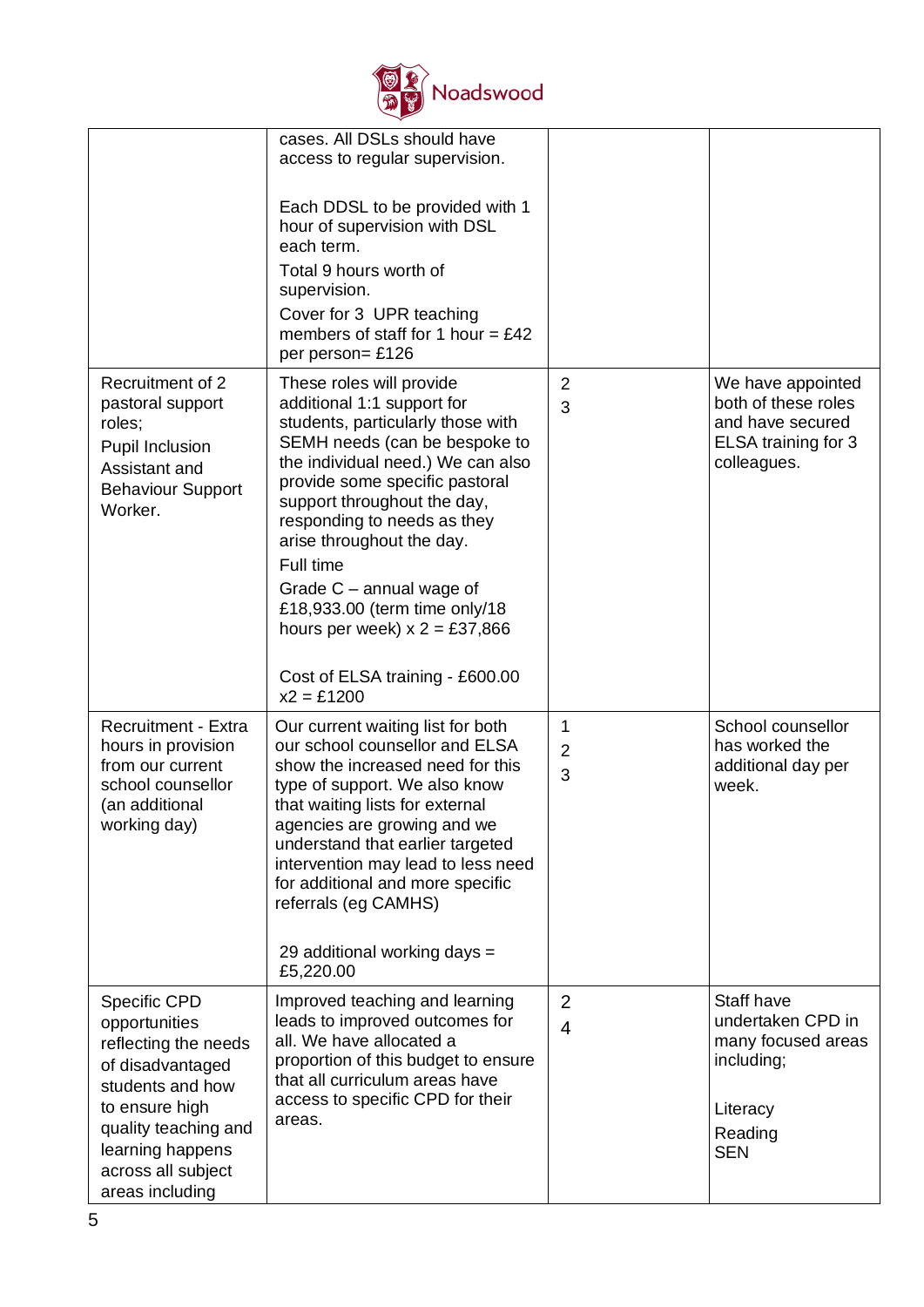

|                                                                                                                                                                                                             | cases. All DSLs should have<br>access to regular supervision.<br>Each DDSL to be provided with 1<br>hour of supervision with DSL<br>each term.<br>Total 9 hours worth of<br>supervision.<br>Cover for 3 UPR teaching<br>members of staff for 1 hour = $£42$<br>per person= £126                                                                                                                                                                                |                          |                                                                                                          |
|-------------------------------------------------------------------------------------------------------------------------------------------------------------------------------------------------------------|----------------------------------------------------------------------------------------------------------------------------------------------------------------------------------------------------------------------------------------------------------------------------------------------------------------------------------------------------------------------------------------------------------------------------------------------------------------|--------------------------|----------------------------------------------------------------------------------------------------------|
| Recruitment of 2<br>pastoral support<br>roles;<br>Pupil Inclusion<br>Assistant and<br><b>Behaviour Support</b><br>Worker.                                                                                   | These roles will provide<br>additional 1:1 support for<br>students, particularly those with<br>SEMH needs (can be bespoke to<br>the individual need.) We can also<br>provide some specific pastoral<br>support throughout the day,<br>responding to needs as they<br>arise throughout the day.<br>Full time<br>Grade $C$ – annual wage of<br>£18,933.00 (term time only/18<br>hours per week) $x = £37,866$<br>Cost of ELSA training - £600.00<br>$x2 = £1200$ | 2<br>3                   | We have appointed<br>both of these roles<br>and have secured<br>ELSA training for 3<br>colleagues.       |
| <b>Recruitment - Extra</b><br>hours in provision<br>from our current<br>school counsellor<br>(an additional<br>working day)                                                                                 | Our current waiting list for both<br>our school counsellor and ELSA<br>show the increased need for this<br>type of support. We also know<br>that waiting lists for external<br>agencies are growing and we<br>understand that earlier targeted<br>intervention may lead to less need<br>for additional and more specific<br>referrals (eg CAMHS)<br>29 additional working days =<br>£5,220.00                                                                  | 1<br>$\overline{2}$<br>3 | School counsellor<br>has worked the<br>additional day per<br>week.                                       |
| <b>Specific CPD</b><br>opportunities<br>reflecting the needs<br>of disadvantaged<br>students and how<br>to ensure high<br>quality teaching and<br>learning happens<br>across all subject<br>areas including | Improved teaching and learning<br>leads to improved outcomes for<br>all. We have allocated a<br>proportion of this budget to ensure<br>that all curriculum areas have<br>access to specific CPD for their<br>areas.                                                                                                                                                                                                                                            | $\overline{2}$<br>4      | Staff have<br>undertaken CPD in<br>many focused areas<br>including;<br>Literacy<br>Reading<br><b>SEN</b> |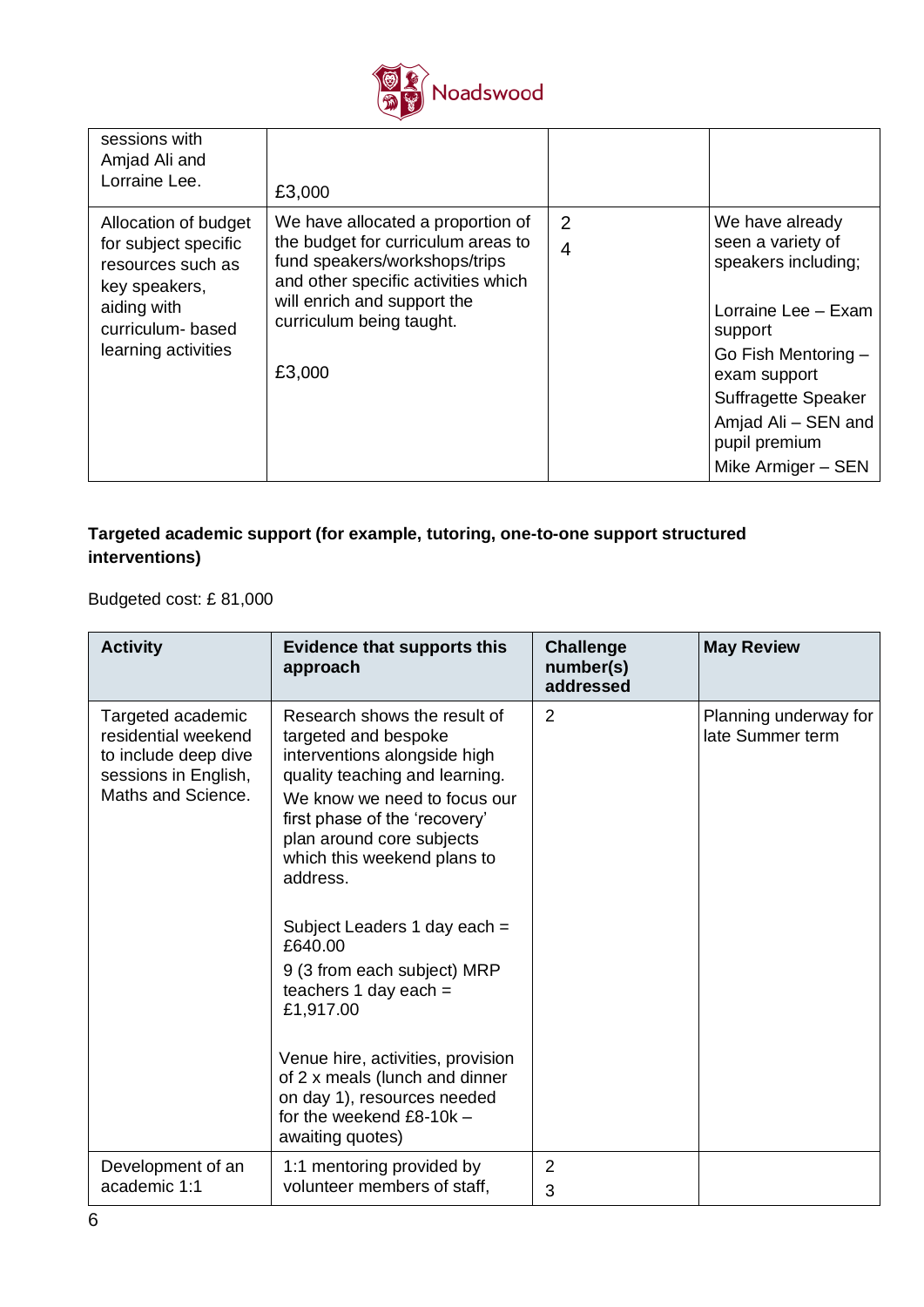

| sessions with<br>Amjad Ali and<br>Lorraine Lee.                                                                                              | £3,000                                                                                                                                                                                                               |                                  |                                                                                                                                                                                                                           |
|----------------------------------------------------------------------------------------------------------------------------------------------|----------------------------------------------------------------------------------------------------------------------------------------------------------------------------------------------------------------------|----------------------------------|---------------------------------------------------------------------------------------------------------------------------------------------------------------------------------------------------------------------------|
| Allocation of budget<br>for subject specific<br>resources such as<br>key speakers,<br>aiding with<br>curriculum-based<br>learning activities | We have allocated a proportion of<br>the budget for curriculum areas to<br>fund speakers/workshops/trips<br>and other specific activities which<br>will enrich and support the<br>curriculum being taught.<br>£3,000 | $\overline{2}$<br>$\overline{4}$ | We have already<br>seen a variety of<br>speakers including;<br>Lorraine Lee - Exam<br>support<br>Go Fish Mentoring -<br>exam support<br>Suffragette Speaker<br>Amjad Ali - SEN and<br>pupil premium<br>Mike Armiger - SEN |

# **Targeted academic support (for example, tutoring, one-to-one support structured interventions)**

Budgeted cost: £ 81,000

| <b>Activity</b>                                                                                                | <b>Evidence that supports this</b><br>approach                                                                                                                                                                                                                                                                                                                                                                                                                                                                                            | <b>Challenge</b><br>number(s)<br>addressed | <b>May Review</b>                         |
|----------------------------------------------------------------------------------------------------------------|-------------------------------------------------------------------------------------------------------------------------------------------------------------------------------------------------------------------------------------------------------------------------------------------------------------------------------------------------------------------------------------------------------------------------------------------------------------------------------------------------------------------------------------------|--------------------------------------------|-------------------------------------------|
| Targeted academic<br>residential weekend<br>to include deep dive<br>sessions in English,<br>Maths and Science. | Research shows the result of<br>targeted and bespoke<br>interventions alongside high<br>quality teaching and learning.<br>We know we need to focus our<br>first phase of the 'recovery'<br>plan around core subjects<br>which this weekend plans to<br>address.<br>Subject Leaders 1 day each =<br>£640.00<br>9 (3 from each subject) MRP<br>teachers 1 day each $=$<br>£1,917.00<br>Venue hire, activities, provision<br>of 2 x meals (lunch and dinner<br>on day 1), resources needed<br>for the weekend $£8-10k$ -<br>awaiting quotes) | $\overline{2}$                             | Planning underway for<br>late Summer term |
| Development of an<br>academic 1:1                                                                              | 1:1 mentoring provided by<br>volunteer members of staff,                                                                                                                                                                                                                                                                                                                                                                                                                                                                                  | $\overline{2}$<br>3                        |                                           |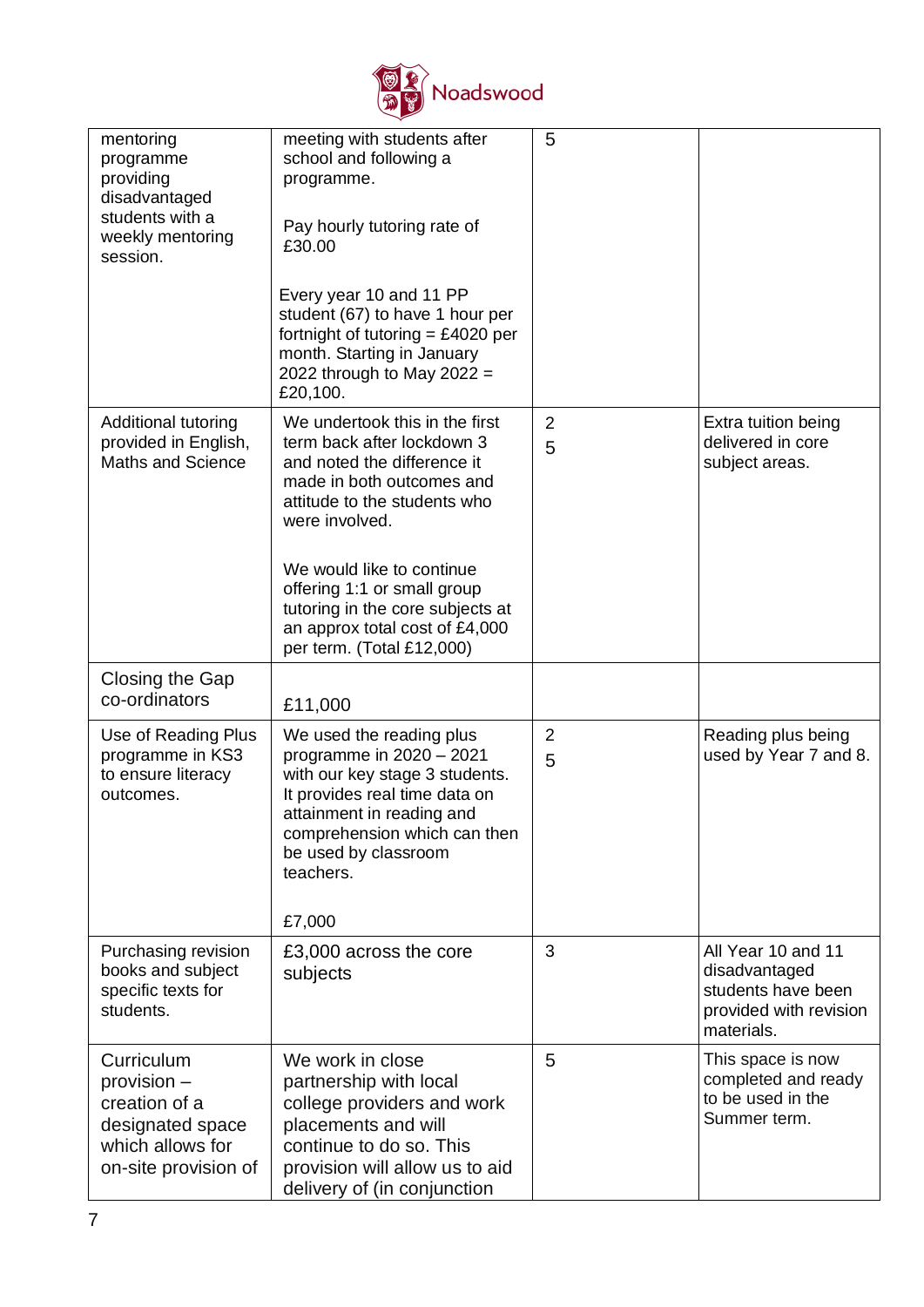

| mentoring<br>programme<br>providing<br>disadvantaged<br>students with a<br>weekly mentoring<br>session.    | meeting with students after<br>school and following a<br>programme.<br>Pay hourly tutoring rate of<br>£30.00<br>Every year 10 and 11 PP<br>student (67) to have 1 hour per<br>fortnight of tutoring = £4020 per<br>month. Starting in January | 5                   |                                                                                                   |
|------------------------------------------------------------------------------------------------------------|-----------------------------------------------------------------------------------------------------------------------------------------------------------------------------------------------------------------------------------------------|---------------------|---------------------------------------------------------------------------------------------------|
|                                                                                                            | 2022 through to May 2022 =<br>£20,100.                                                                                                                                                                                                        |                     |                                                                                                   |
| <b>Additional tutoring</b><br>provided in English,<br><b>Maths and Science</b>                             | We undertook this in the first<br>term back after lockdown 3<br>and noted the difference it<br>made in both outcomes and<br>attitude to the students who<br>were involved.                                                                    | $\overline{2}$<br>5 | Extra tuition being<br>delivered in core<br>subject areas.                                        |
|                                                                                                            | We would like to continue<br>offering 1:1 or small group<br>tutoring in the core subjects at<br>an approx total cost of £4,000<br>per term. (Total £12,000)                                                                                   |                     |                                                                                                   |
| Closing the Gap<br>co-ordinators                                                                           | £11,000                                                                                                                                                                                                                                       |                     |                                                                                                   |
| Use of Reading Plus<br>programme in KS3<br>to ensure literacy<br>outcomes.                                 | We used the reading plus<br>programme in $2020 - 2021$<br>with our key stage 3 students.<br>It provides real time data on<br>attainment in reading and<br>comprehension which can then<br>be used by classroom<br>teachers.<br>£7,000         | $\overline{2}$<br>5 | Reading plus being<br>used by Year 7 and 8.                                                       |
| Purchasing revision<br>books and subject<br>specific texts for<br>students.                                | £3,000 across the core<br>subjects                                                                                                                                                                                                            | 3                   | All Year 10 and 11<br>disadvantaged<br>students have been<br>provided with revision<br>materials. |
| Curriculum<br>provision -<br>creation of a<br>designated space<br>which allows for<br>on-site provision of | We work in close<br>partnership with local<br>college providers and work<br>placements and will<br>continue to do so. This<br>provision will allow us to aid<br>delivery of (in conjunction                                                   | 5                   | This space is now<br>completed and ready<br>to be used in the<br>Summer term.                     |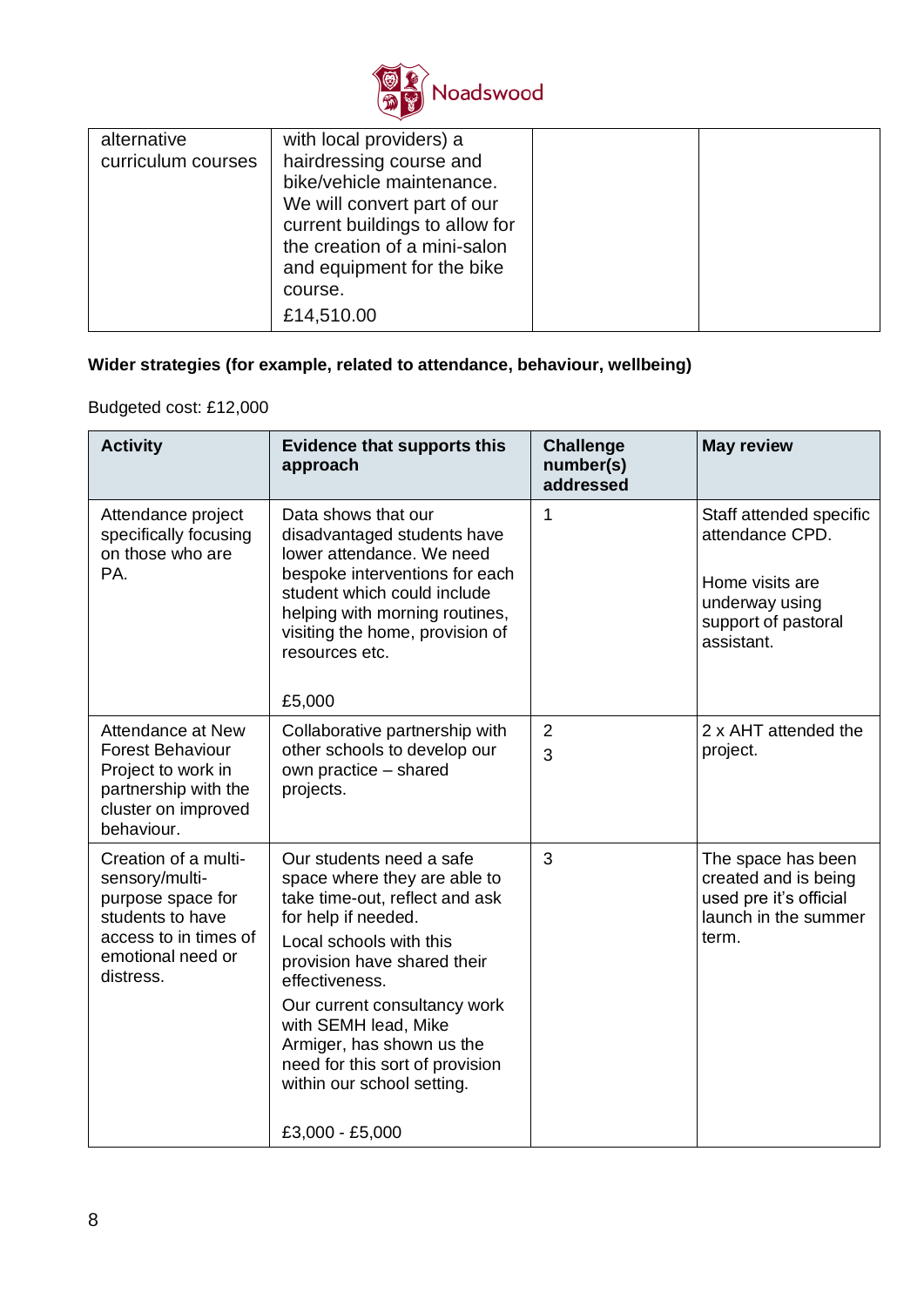

| alternative<br>curriculum courses | with local providers) a<br>hairdressing course and<br>bike/vehicle maintenance.<br>We will convert part of our<br>current buildings to allow for<br>the creation of a mini-salon<br>and equipment for the bike<br>course. |  |
|-----------------------------------|---------------------------------------------------------------------------------------------------------------------------------------------------------------------------------------------------------------------------|--|
|                                   | £14,510.00                                                                                                                                                                                                                |  |

# **Wider strategies (for example, related to attendance, behaviour, wellbeing)**

# Budgeted cost: £12,000

| <b>Activity</b>                                                                                                                            | <b>Evidence that supports this</b><br>approach                                                                                                                                                                                                                                                                                                      | <b>Challenge</b><br>number(s)<br>addressed | <b>May review</b>                                                                                                    |
|--------------------------------------------------------------------------------------------------------------------------------------------|-----------------------------------------------------------------------------------------------------------------------------------------------------------------------------------------------------------------------------------------------------------------------------------------------------------------------------------------------------|--------------------------------------------|----------------------------------------------------------------------------------------------------------------------|
| Attendance project<br>specifically focusing<br>on those who are<br>PA.                                                                     | Data shows that our<br>disadvantaged students have<br>lower attendance. We need<br>bespoke interventions for each<br>student which could include<br>helping with morning routines,<br>visiting the home, provision of<br>resources etc.<br>£5,000                                                                                                   | $\mathbf 1$                                | Staff attended specific<br>attendance CPD.<br>Home visits are<br>underway using<br>support of pastoral<br>assistant. |
| Attendance at New<br><b>Forest Behaviour</b><br>Project to work in<br>partnership with the<br>cluster on improved<br>behaviour.            | Collaborative partnership with<br>other schools to develop our<br>own practice - shared<br>projects.                                                                                                                                                                                                                                                | $\overline{2}$<br>3                        | 2 x AHT attended the<br>project.                                                                                     |
| Creation of a multi-<br>sensory/multi-<br>purpose space for<br>students to have<br>access to in times of<br>emotional need or<br>distress. | Our students need a safe<br>space where they are able to<br>take time-out, reflect and ask<br>for help if needed.<br>Local schools with this<br>provision have shared their<br>effectiveness.<br>Our current consultancy work<br>with SEMH lead, Mike<br>Armiger, has shown us the<br>need for this sort of provision<br>within our school setting. | 3                                          | The space has been<br>created and is being<br>used pre it's official<br>launch in the summer<br>term.                |
|                                                                                                                                            | £3,000 - £5,000                                                                                                                                                                                                                                                                                                                                     |                                            |                                                                                                                      |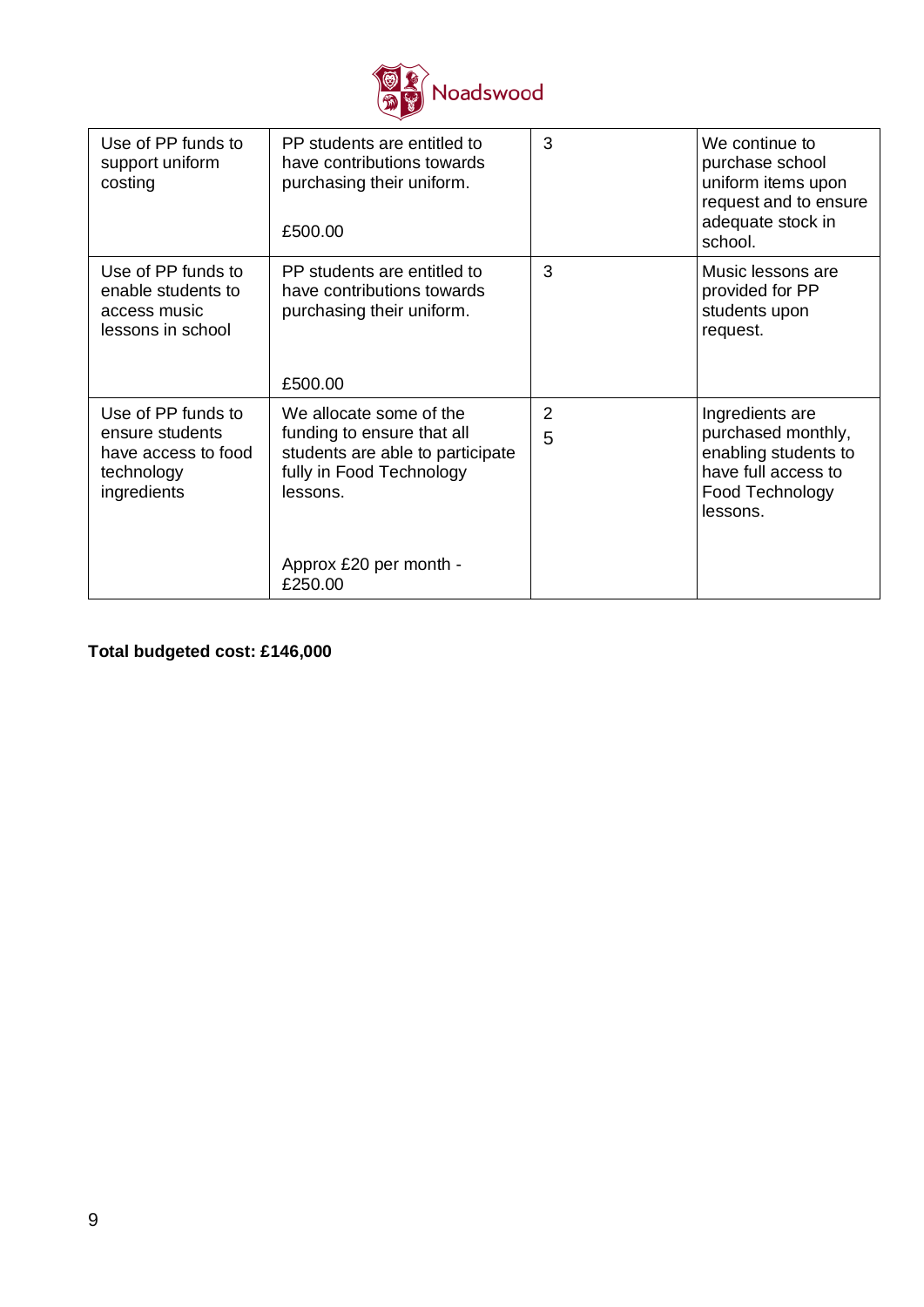

| Use of PP funds to<br>support uniform<br>costing                                          | PP students are entitled to<br>have contributions towards<br>purchasing their uniform.<br>£500.00                                                                      | 3      | We continue to<br>purchase school<br>uniform items upon<br>request and to ensure<br>adequate stock in<br>school.    |
|-------------------------------------------------------------------------------------------|------------------------------------------------------------------------------------------------------------------------------------------------------------------------|--------|---------------------------------------------------------------------------------------------------------------------|
| Use of PP funds to<br>enable students to<br>access music<br>lessons in school             | PP students are entitled to<br>have contributions towards<br>purchasing their uniform.<br>£500.00                                                                      | 3      | Music lessons are<br>provided for PP<br>students upon<br>request.                                                   |
| Use of PP funds to<br>ensure students<br>have access to food<br>technology<br>ingredients | We allocate some of the<br>funding to ensure that all<br>students are able to participate<br>fully in Food Technology<br>lessons.<br>Approx £20 per month -<br>£250.00 | 2<br>5 | Ingredients are<br>purchased monthly,<br>enabling students to<br>have full access to<br>Food Technology<br>lessons. |

**Total budgeted cost: £146,000**